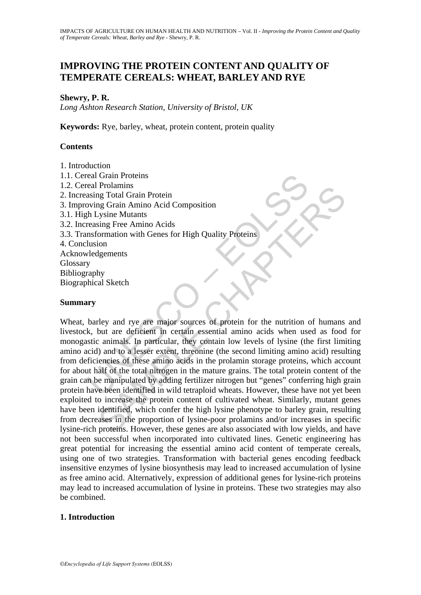# **IMPROVING THE PROTEIN CONTENT AND QUALITY OF TEMPERATE CEREALS: WHEAT, BARLEY AND RYE**

## **Shewry, P. R.**

*Long Ashton Research Station, University of Bristol, UK* 

**Keywords:** Rye, barley, wheat, protein content, protein quality

## **Contents**

1. Introduction

real Grain Proteins<br>
eal Grain Totein<br>
eal Prolamins<br>
protein<br>
proving Grain Amino Acid Composition<br>
th Lysine Mutants<br>
reasing Free Amino Acids<br>
msformation with Genes for High Quality Proteins<br>
whical Sketch<br>
y<br>
prophy<br> 1.1. Cereal Grain Proteins 1.2. Cereal Prolamins 2. Increasing Total Grain Protein 3. Improving Grain Amino Acid Composition 3.1. High Lysine Mutants 3.2. Increasing Free Amino Acids 3.3. Transformation with Genes for High Quality Proteins 4. Conclusion Acknowledgements Glossary Bibliography Biographical Sketch

## **Summary**

Protainmins<br>
and Crain Protein<br>
In Grain Amino Acid Composition<br>
2. Sine Mutants<br>
Sine Mutants<br>
Sime Mutants<br>
Sime munio Acids<br>
formation with Genes for High Quality Protein<br>
ion<br>
1. Sime munios, the protein in certain ess Wheat, barley and rye are major sources of protein for the nutrition of humans and livestock, but are deficient in certain essential amino acids when used as food for monogastic animals. In particular, they contain low levels of lysine (the first limiting amino acid) and to a lesser extent, threonine (the second limiting amino acid) resulting from deficiencies of these amino acids in the prolamin storage proteins, which account for about half of the total nitrogen in the mature grains. The total protein content of the grain can be manipulated by adding fertilizer nitrogen but "genes" conferring high grain protein have been identified in wild tetraploid wheats. However, these have not yet been exploited to increase the protein content of cultivated wheat. Similarly, mutant genes have been identified, which confer the high lysine phenotype to barley grain, resulting from decreases in the proportion of lysine-poor prolamins and/or increases in specific lysine-rich proteins. However, these genes are also associated with low yields, and have not been successful when incorporated into cultivated lines. Genetic engineering has great potential for increasing the essential amino acid content of temperate cereals, using one of two strategies. Transformation with bacterial genes encoding feedback insensitive enzymes of lysine biosynthesis may lead to increased accumulation of lysine as free amino acid. Alternatively, expression of additional genes for lysine-rich proteins may lead to increased accumulation of lysine in proteins. These two strategies may also be combined.

## **1. Introduction**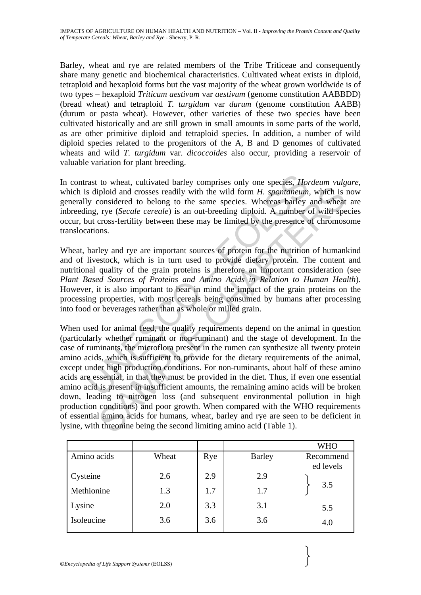Barley, wheat and rye are related members of the Tribe Triticeae and consequently share many genetic and biochemical characteristics. Cultivated wheat exists in diploid, tetraploid and hexaploid forms but the vast majority of the wheat grown worldwide is of two types – hexaploid *Triticum aestivum* var *aestivum* (genome constitution AABBDD) (bread wheat) and tetraploid *T. turgidum* var *durum* (genome constitution AABB) (durum or pasta wheat). However, other varieties of these two species have been cultivated historically and are still grown in small amounts in some parts of the world, as are other primitive diploid and tetraploid species. In addition, a number of wild diploid species related to the progenitors of the A, B and D genomes of cultivated wheats and wild *T. turgidum* var. *dicoccoides* also occur, providing a reservoir of valuable variation for plant breeding.

In contrast to wheat, cultivated barley comprises only one species, *Hordeum vulgare*, which is diploid and crosses readily with the wild form *H. spontaneum,* which is now generally considered to belong to the same species. Whereas barley and wheat are inbreeding, rye (*Secale cereale*) is an out-breeding diploid. A number of wild species occur, but cross-fertility between these may be limited by the presence of chromosome translocations.

Wheat, barley and rye are important sources of protein for the nutrition of humankind and of livestock, which is in turn used to provide dietary protein. The content and nutritional quality of the grain proteins is therefore an important consideration (see *Plant Based Sources of Proteins and Amino Acids in Relation to Human Health*). However, it is also important to bear in mind the impact of the grain proteins on the processing properties, with most cereals being consumed by humans after processing into food or beverages rather than as whole or milled grain.

rast to wheat, cultivated barley comprises only one species, *Hon* sippoid and crosses readily with the wild form *H. spontaneum* ly considered to belong to the same species. Whereas barley ing, rye (*Secale cereale*) is a iploid and crosses readily with the wild form *H. spontaneum*, which is<br>considered to belong to the same species. Whereas barley and wheat<br>cross-fertility between these may be limited by the presence of chromos<br>recross-fe When used for animal feed, the quality requirements depend on the animal in question (particularly whether ruminant or non-ruminant) and the stage of development. In the case of ruminants, the microflora present in the rumen can synthesize all twenty protein amino acids, which is sufficient to provide for the dietary requirements of the animal, except under high production conditions. For non-ruminants, about half of these amino acids are essential, in that they must be provided in the diet. Thus, if even one essential amino acid is present in insufficient amounts, the remaining amino acids will be broken down, leading to nitrogen loss (and subsequent environmental pollution in high production conditions) and poor growth. When compared with the WHO requirements of essential amino acids for humans, wheat, barley and rye are seen to be deficient in lysine, with threonine being the second limiting amino acid (Table 1).

|             |       |     |               | <b>WHO</b> |
|-------------|-------|-----|---------------|------------|
| Amino acids | Wheat | Rye | <b>Barley</b> | Recommend  |
|             |       |     |               | ed levels  |
| Cysteine    | 2.6   | 2.9 | 2.9           |            |
| Methionine  | 1.3   | 1.7 | 1.7           | 3.5        |
| Lysine      | 2.0   | 3.3 | 3.1           | 5.5        |
| Isoleucine  | 3.6   | 3.6 | 3.6           | 4.0        |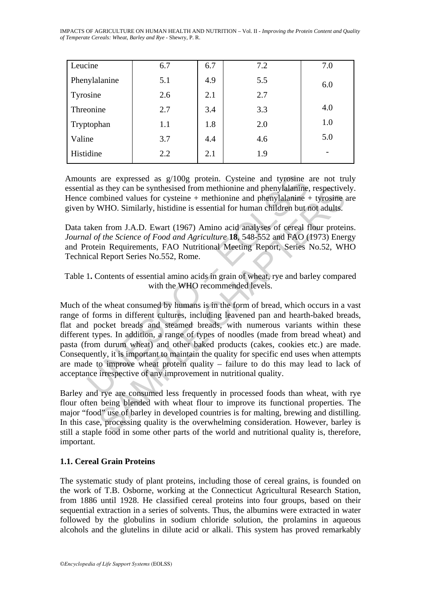IMPACTS OF AGRICULTURE ON HUMAN HEALTH AND NUTRITION – Vol. II - *Improving the Protein Content and Quality of Temperate Cereals: Wheat, Barley and Rye* - Shewry, P. R.

| Leucine       | 6.7 | 6.7 | 7.2 | 7.0 |
|---------------|-----|-----|-----|-----|
| Phenylalanine | 5.1 | 4.9 | 5.5 | 6.0 |
| Tyrosine      | 2.6 | 2.1 | 2.7 |     |
| Threonine     | 2.7 | 3.4 | 3.3 | 4.0 |
| Tryptophan    | 1.1 | 1.8 | 2.0 | 1.0 |
| Valine        | 3.7 | 4.4 | 4.6 | 5.0 |
| Histidine     | 2.2 | 2.1 | 1.9 |     |

Amounts are expressed as g/100g protein. Cysteine and tyrosine are not truly essential as they can be synthesised from methionine and phenylalanine, respectively. Hence combined values for cysteine + methionine and phenylalanine + tyrosine are given by WHO. Similarly, histidine is essential for human children but not adults.

Data taken from J.A.D. Ewart (1967) Amino acid analyses of cereal flour proteins. *Journal of the Science of Food and Agriculture* **18**, 548-552 and FAO (1973) Energy and Protein Requirements, FAO Nutritional Meeting Report, Series No.52, WHO Technical Report Series No.552, Rome.

Table 1**.** Contents of essential amino acids in grain of wheat, rye and barley compared with the WHO recommended levels.

nts are expressed as  $g/100g$  protein. Cysteine and tyrosine<br>ial as they can be synthesised from methionine and phenylalanine.<br>combined values for cysteine + methionine and phenylalanine.<br>by WHO. Similarly, histidine is e as they can be synthesised from methionine and phenylalanine, respective<br>mbined values for cysteine + methionine and phenylalanine + tyrosine<br>WHO. Similarly, histidine is essential for human children but not adults.<br>MPO. S Much of the wheat consumed by humans is in the form of bread, which occurs in a vast range of forms in different cultures, including leavened pan and hearth-baked breads, flat and pocket breads and steamed breads, with numerous variants within these different types. In addition, a range of types of noodles (made from bread wheat) and pasta (from durum wheat) and other baked products (cakes, cookies etc.) are made. Consequently, it is important to maintain the quality for specific end uses when attempts are made to improve wheat protein quality – failure to do this may lead to lack of acceptance irrespective of any improvement in nutritional quality.

Barley and rye are consumed less frequently in processed foods than wheat, with rye flour often being blended with wheat flour to improve its functional properties. The major "food" use of barley in developed countries is for malting, brewing and distilling. In this case, processing quality is the overwhelming consideration. However, barley is still a staple food in some other parts of the world and nutritional quality is, therefore, important.

## **1.1. Cereal Grain Proteins**

The systematic study of plant proteins, including those of cereal grains, is founded on the work of T.B. Osborne, working at the Connecticut Agricultural Research Station, from 1886 until 1928. He classified cereal proteins into four groups, based on their sequential extraction in a series of solvents. Thus, the albumins were extracted in water followed by the globulins in sodium chloride solution, the prolamins in aqueous alcohols and the glutelins in dilute acid or alkali. This system has proved remarkably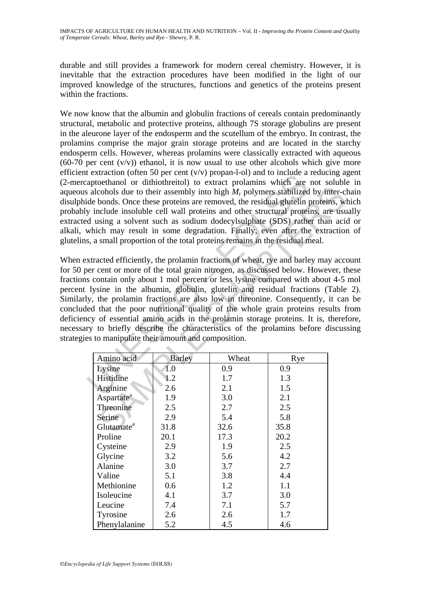durable and still provides a framework for modern cereal chemistry. However, it is inevitable that the extraction procedures have been modified in the light of our improved knowledge of the structures, functions and genetics of the proteins present within the fractions.

We now know that the albumin and globulin fractions of cereals contain predominantly structural, metabolic and protective proteins, although 7S storage globulins are present in the aleurone layer of the endosperm and the scutellum of the embryo. In contrast, the prolamins comprise the major grain storage proteins and are located in the starchy endosperm cells. However, whereas prolamins were classically extracted with aqueous  $(60-70$  per cent  $(v/v)$ ) ethanol, it is now usual to use other alcohols which give more efficient extraction (often 50 per cent  $(v/v)$  propan-l-ol) and to include a reducing agent (2-mercaptoethanol or dithiothreitol) to extract prolamins which are not soluble in aqueous alcohols due to their assembly into high  $M_r$  polymers stabilized by inter-chain disulphide bonds. Once these proteins are removed, the residual glutelin proteins, which probably include insoluble cell wall proteins and other structural proteins, are usually extracted using a solvent such as sodium dodecylsulphate (SDS) rather than acid or alkali, which may result in some degradation. Finally, even after the extraction of glutelins, a small proportion of the total proteins remains in the residual meal.

Exaction (ofter 30 per eart (vv) propar---o) and to thread and<br>aptochhanol or dihiothreitol) to extract prolamins which are<br>alcohols due to their assembly into high  $M_r$  polymers stabilized<br>ide bonds. Once these proteins colools due to their assembly into high  $M_r$  polymers stabilized by inter-<br>conds. Once these proteins are removed, the residual glutelin proteins, we<br>colools due to their assembly into high  $M_r$  polymers stabilized by int When extracted efficiently, the prolamin fractions of wheat, rye and barley may account for 50 per cent or more of the total grain nitrogen, as discussed below. However, these fractions contain only about 1 mol percent or less lysine compared with about 4-5 mol percent lysine in the albumin, globulin, glutelin and residual fractions (Table 2). Similarly, the prolamin fractions are also low in threonine. Consequently, it can be concluded that the poor nutritional quality of the whole grain proteins results from deficiency of essential amino acids in the prolamin storage proteins. It is, therefore, necessary to briefly describe the characteristics of the prolamins before discussing strategies to manipulate their amount and composition.

| Amino acid             | <b>Barley</b> | Wheat | Rye  |
|------------------------|---------------|-------|------|
| Lysine                 | 1.0           | 0.9   | 0.9  |
| Histidine              | 1.2           | 1.7   | 1.3  |
| Arginine               | 2.6           | 2.1   | 1.5  |
| Aspartate <sup>a</sup> | 1.9           | 3.0   | 2.1  |
| Threonine              | 2.5           | 2.7   | 2.5  |
| Serine                 | 2.9           | 5.4   | 5.8  |
| Glutamate <sup>a</sup> | 31.8          | 32.6  | 35.8 |
| Proline                | 20.1          | 17.3  | 20.2 |
| Cysteine               | 2.9           | 1.9   | 2.5  |
| Glycine                | 3.2           | 5.6   | 4.2  |
| Alanine                | 3.0           | 3.7   | 2.7  |
| Valine                 | 5.1           | 3.8   | 4.4  |
| Methionine             | 0.6           | 1.2   | 1.1  |
| Isoleucine             | 4.1           | 3.7   | 3.0  |
| Leucine                | 7.4           | 7.1   | 5.7  |
| Tyrosine               | 2.6           | 2.6   | 1.7  |
| Phenylalanine          | 5.2           | 4.5   | 4.6  |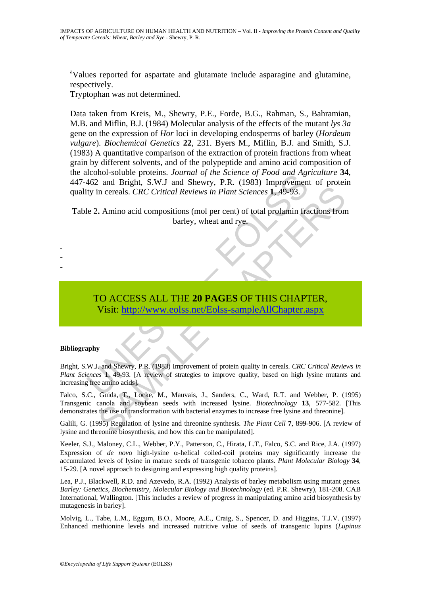<sup>a</sup>Values reported for aspartate and glutamate include asparagine and glutamine, respectively.

Tryptophan was not determined.

Data taken from Kreis, M., Shewry, P.E., Forde, B.G., Rahman, S., Bahramian, M.B. and Miflin, B.J. (1984) Molecular analysis of the effects of the mutant *lys 3a* gene on the expression of *Hor* loci in developing endosperms of barley (*Hordeum vulgare*). *Biochemical Genetics* **22**, 231. Byers M., Miflin, B.J. and Smith, S.J. (1983) A quantitative comparison of the extraction of protein fractions from wheat grain by different solvents, and of the polypeptide and amino acid composition of the alcohol-soluble proteins. *Journal of the Science of Food and Agriculture* **34**, 447-462 and Bright, S.W.J and Shewry, P.R. (1983) Improvement of protein quality in cereals. *CRC Critical Reviews in Plant Sciences* **1**, 49-93.

Table 2**.** Amino acid compositions (mol per cent) of total prolamin fractions from barley, wheat and rye.

# TO ACCESS ALL THE **20 PAGES** OF THIS CHAPTER, Visit: http://www.eolss.net/Eolss-sampleAllChapter.aspx

#### **Bibliography**

- - -

Example of Frontine in the matter of Frontine Afford and Bight, S.W.J and Shewry, P.R. (1983) Improvement<br>by in creads. CRC Critical Reviews in Plant Sciences 1, 49-93.<br>Pe 2. Amino acid compositions (mol per cent) of total in creads. *CRC Critical Reviews in Plant Sciences* **1**, 49-93.<br>
Amino acid compositions (mol per cent) of total prolamin fractions from<br>
barley, wheat and rye.<br>
CO ACCESS ALL THE 20 PAGES OF THIS [CH](https://www.eolss.net/ebooklib/sc_cart.aspx?File=E5-21-04-04)APTER,<br>
Visit: http:// Bright, S.W.J. and Shewry, P.R. (1983) Improvement of protein quality in cereals. *CRC Critical Reviews in Plant Sciences* 1, 49-93. [A review of strategies to improve quality, based on high lysine mutants and increasing free amino acids].

Falco, S.C., Guida, T., Locke, M., Mauvais, J., Sanders, C., Ward, R.T. and Webber, P. (1995) Transgenic canola and soybean seeds with increased lysine. *Biotechnology* **13**, 577-582. [This demonstrates the use of transformation with bacterial enzymes to increase free lysine and threonine].

Galili, G. (1995) Regulation of lysine and threonine synthesis*. The Plant Cell* **7**, 899-906. [A review of lysine and threonine biosynthesis, and how this can be manipulated].

Keeler, S.J., Maloney, C.L., Webber, P.Y., Patterson, C., Hirata, L.T., Falco, S.C. and Rice, J.A. (1997) Expression of *de novo* high-lysine α-helical coiled-coil proteins may significantly increase the accumulated levels of lysine in mature seeds of transgenic tobacco plants. *Plant Molecular Biology* **34**, 15-29. [A novel approach to designing and expressing high quality proteins].

Lea, P.J., Blackwell, R.D. and Azevedo, R.A. (1992) Analysis of barley metabolism using mutant genes. *Barley: Genetics, Biochemistry, Molecular Biology and Biotechnology* (ed. P.R. Shewry), 181-208. CAB International, Wallington. [This includes a review of progress in manipulating amino acid biosynthesis by mutagenesis in barley].

Molvig, L., Tabe, L.M., Eggum, B.O., Moore, A.E., Craig, S., Spencer, D. and Higgins, T.J.V. (1997) Enhanced methionine levels and increased nutritive value of seeds of transgenic lupins (*Lupinus*